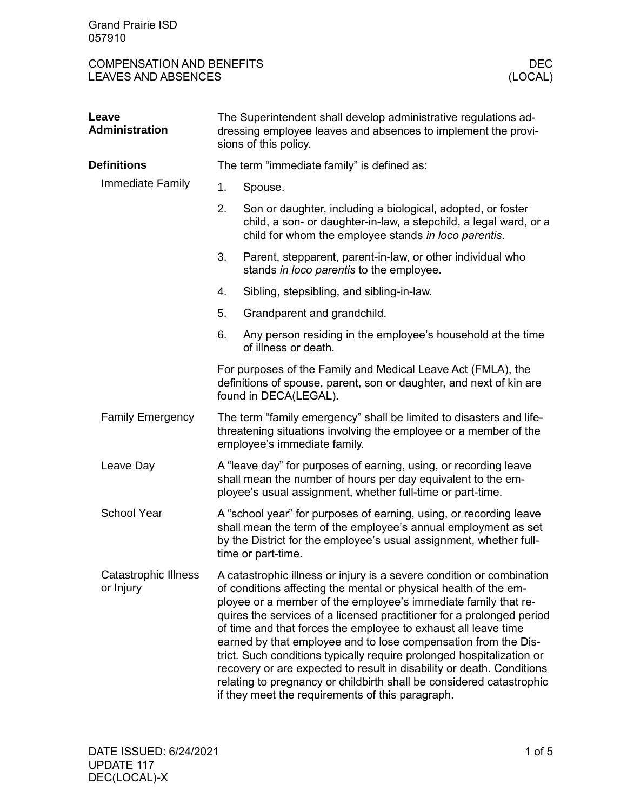| <b>COMPENSATION AND BENEFITS</b> | DEC     |
|----------------------------------|---------|
| <b>LEAVES AND ABSENCES</b>       | (LOCAL) |

| Leave<br><b>Administration</b>           | The Superintendent shall develop administrative regulations ad-<br>dressing employee leaves and absences to implement the provi-<br>sions of this policy.                                                                                                                                                                                                                                                                                                                                                                                                                                                                                                                                              |                                                                                                                                                                                          |  |  |
|------------------------------------------|--------------------------------------------------------------------------------------------------------------------------------------------------------------------------------------------------------------------------------------------------------------------------------------------------------------------------------------------------------------------------------------------------------------------------------------------------------------------------------------------------------------------------------------------------------------------------------------------------------------------------------------------------------------------------------------------------------|------------------------------------------------------------------------------------------------------------------------------------------------------------------------------------------|--|--|
| <b>Definitions</b>                       |                                                                                                                                                                                                                                                                                                                                                                                                                                                                                                                                                                                                                                                                                                        | The term "immediate family" is defined as:                                                                                                                                               |  |  |
| Immediate Family                         | 1.                                                                                                                                                                                                                                                                                                                                                                                                                                                                                                                                                                                                                                                                                                     | Spouse.                                                                                                                                                                                  |  |  |
|                                          | 2.                                                                                                                                                                                                                                                                                                                                                                                                                                                                                                                                                                                                                                                                                                     | Son or daughter, including a biological, adopted, or foster<br>child, a son- or daughter-in-law, a stepchild, a legal ward, or a<br>child for whom the employee stands in loco parentis. |  |  |
|                                          | 3.                                                                                                                                                                                                                                                                                                                                                                                                                                                                                                                                                                                                                                                                                                     | Parent, stepparent, parent-in-law, or other individual who<br>stands in loco parentis to the employee.                                                                                   |  |  |
|                                          | 4.                                                                                                                                                                                                                                                                                                                                                                                                                                                                                                                                                                                                                                                                                                     | Sibling, stepsibling, and sibling-in-law.                                                                                                                                                |  |  |
|                                          | 5.                                                                                                                                                                                                                                                                                                                                                                                                                                                                                                                                                                                                                                                                                                     | Grandparent and grandchild.                                                                                                                                                              |  |  |
|                                          | 6.                                                                                                                                                                                                                                                                                                                                                                                                                                                                                                                                                                                                                                                                                                     | Any person residing in the employee's household at the time<br>of illness or death.                                                                                                      |  |  |
|                                          | For purposes of the Family and Medical Leave Act (FMLA), the<br>definitions of spouse, parent, son or daughter, and next of kin are<br>found in DECA(LEGAL).                                                                                                                                                                                                                                                                                                                                                                                                                                                                                                                                           |                                                                                                                                                                                          |  |  |
| <b>Family Emergency</b>                  | The term "family emergency" shall be limited to disasters and life-<br>threatening situations involving the employee or a member of the<br>employee's immediate family.                                                                                                                                                                                                                                                                                                                                                                                                                                                                                                                                |                                                                                                                                                                                          |  |  |
| Leave Day                                | A "leave day" for purposes of earning, using, or recording leave<br>shall mean the number of hours per day equivalent to the em-<br>ployee's usual assignment, whether full-time or part-time.                                                                                                                                                                                                                                                                                                                                                                                                                                                                                                         |                                                                                                                                                                                          |  |  |
| <b>School Year</b>                       | A "school year" for purposes of earning, using, or recording leave<br>shall mean the term of the employee's annual employment as set<br>by the District for the employee's usual assignment, whether full-<br>time or part-time.                                                                                                                                                                                                                                                                                                                                                                                                                                                                       |                                                                                                                                                                                          |  |  |
| <b>Catastrophic Illness</b><br>or Injury | A catastrophic illness or injury is a severe condition or combination<br>of conditions affecting the mental or physical health of the em-<br>ployee or a member of the employee's immediate family that re-<br>quires the services of a licensed practitioner for a prolonged period<br>of time and that forces the employee to exhaust all leave time<br>earned by that employee and to lose compensation from the Dis-<br>trict. Such conditions typically require prolonged hospitalization or<br>recovery or are expected to result in disability or death. Conditions<br>relating to pregnancy or childbirth shall be considered catastrophic<br>if they meet the requirements of this paragraph. |                                                                                                                                                                                          |  |  |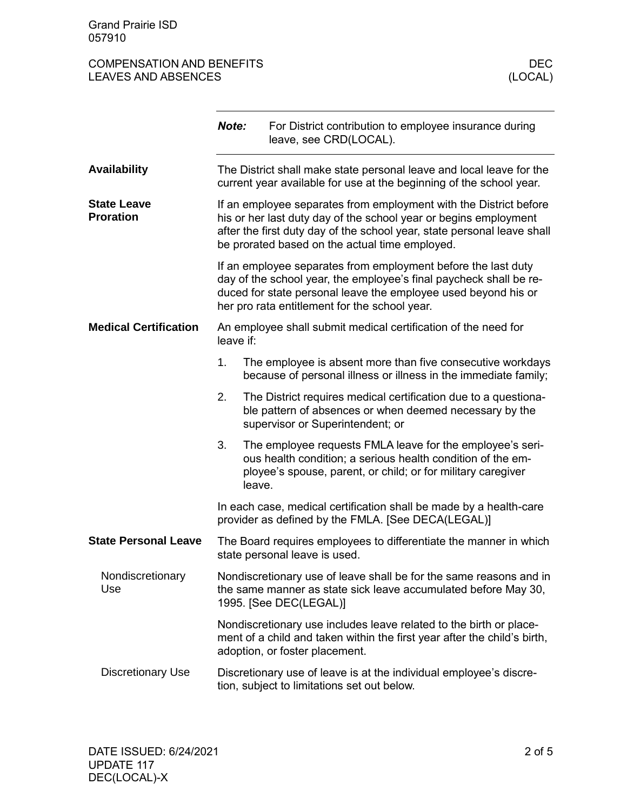## COMPENSATION AND BENEFITS DECOMPENSATION AND BENEFITS DECTRES AND ABSENCES LEAVES AND ABSENCES

|                                        | Note:                                                                                                                                       |        | For District contribution to employee insurance during<br>leave, see CRD(LOCAL).                                                                                                                                                                                   |
|----------------------------------------|---------------------------------------------------------------------------------------------------------------------------------------------|--------|--------------------------------------------------------------------------------------------------------------------------------------------------------------------------------------------------------------------------------------------------------------------|
| <b>Availability</b>                    | The District shall make state personal leave and local leave for the<br>current year available for use at the beginning of the school year. |        |                                                                                                                                                                                                                                                                    |
| <b>State Leave</b><br><b>Proration</b> |                                                                                                                                             |        | If an employee separates from employment with the District before<br>his or her last duty day of the school year or begins employment<br>after the first duty day of the school year, state personal leave shall<br>be prorated based on the actual time employed. |
|                                        |                                                                                                                                             |        | If an employee separates from employment before the last duty<br>day of the school year, the employee's final paycheck shall be re-<br>duced for state personal leave the employee used beyond his or<br>her pro rata entitlement for the school year.             |
| <b>Medical Certification</b>           | An employee shall submit medical certification of the need for<br>leave if:                                                                 |        |                                                                                                                                                                                                                                                                    |
|                                        | 1.                                                                                                                                          |        | The employee is absent more than five consecutive workdays<br>because of personal illness or illness in the immediate family;                                                                                                                                      |
|                                        | 2.                                                                                                                                          |        | The District requires medical certification due to a questiona-<br>ble pattern of absences or when deemed necessary by the<br>supervisor or Superintendent; or                                                                                                     |
|                                        | 3.                                                                                                                                          | leave. | The employee requests FMLA leave for the employee's seri-<br>ous health condition; a serious health condition of the em-<br>ployee's spouse, parent, or child; or for military caregiver                                                                           |
|                                        |                                                                                                                                             |        | In each case, medical certification shall be made by a health-care<br>provider as defined by the FMLA. [See DECA(LEGAL)]                                                                                                                                           |
| <b>State Personal Leave</b>            | The Board requires employees to differentiate the manner in which<br>state personal leave is used.                                          |        |                                                                                                                                                                                                                                                                    |
| Nondiscretionary<br>Use                |                                                                                                                                             |        | Nondiscretionary use of leave shall be for the same reasons and in<br>the same manner as state sick leave accumulated before May 30,<br>1995. [See DEC(LEGAL)]                                                                                                     |
|                                        |                                                                                                                                             |        | Nondiscretionary use includes leave related to the birth or place-<br>ment of a child and taken within the first year after the child's birth,<br>adoption, or foster placement.                                                                                   |
| <b>Discretionary Use</b>               | Discretionary use of leave is at the individual employee's discre-<br>tion, subject to limitations set out below.                           |        |                                                                                                                                                                                                                                                                    |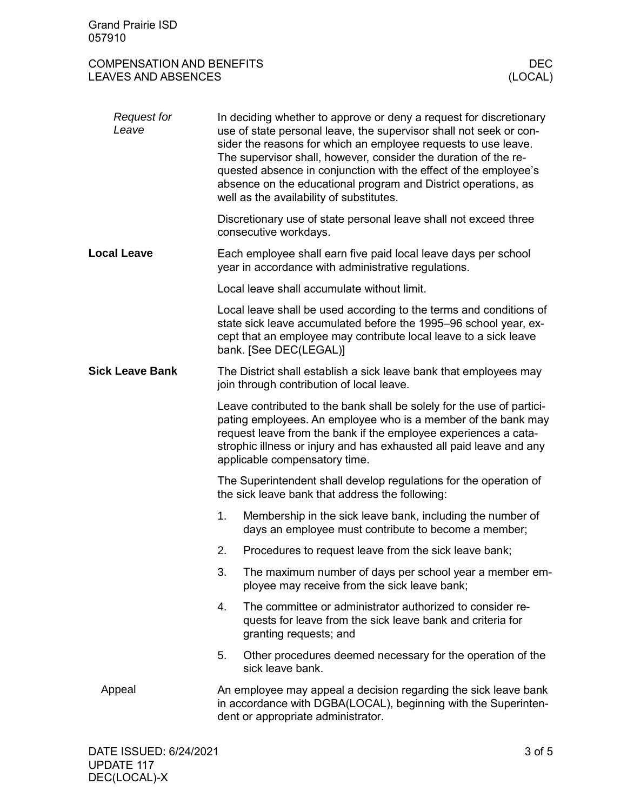## COMPENSATION AND BENEFITS DECOMPENSATION AND BENEFITS DECTRES AND ABSENCES LEAVES AND ABSENCES

| <b>Request for</b><br>Leave | In deciding whether to approve or deny a request for discretionary<br>use of state personal leave, the supervisor shall not seek or con-<br>sider the reasons for which an employee requests to use leave.<br>The supervisor shall, however, consider the duration of the re-<br>quested absence in conjunction with the effect of the employee's<br>absence on the educational program and District operations, as<br>well as the availability of substitutes. |  |
|-----------------------------|-----------------------------------------------------------------------------------------------------------------------------------------------------------------------------------------------------------------------------------------------------------------------------------------------------------------------------------------------------------------------------------------------------------------------------------------------------------------|--|
|                             | Discretionary use of state personal leave shall not exceed three<br>consecutive workdays.                                                                                                                                                                                                                                                                                                                                                                       |  |
| <b>Local Leave</b>          | Each employee shall earn five paid local leave days per school<br>year in accordance with administrative regulations.                                                                                                                                                                                                                                                                                                                                           |  |
|                             | Local leave shall accumulate without limit.                                                                                                                                                                                                                                                                                                                                                                                                                     |  |
|                             | Local leave shall be used according to the terms and conditions of<br>state sick leave accumulated before the 1995-96 school year, ex-<br>cept that an employee may contribute local leave to a sick leave<br>bank. [See DEC(LEGAL)]                                                                                                                                                                                                                            |  |
| <b>Sick Leave Bank</b>      | The District shall establish a sick leave bank that employees may<br>join through contribution of local leave.                                                                                                                                                                                                                                                                                                                                                  |  |
|                             | Leave contributed to the bank shall be solely for the use of partici-<br>pating employees. An employee who is a member of the bank may<br>request leave from the bank if the employee experiences a cata-<br>strophic illness or injury and has exhausted all paid leave and any<br>applicable compensatory time.                                                                                                                                               |  |
|                             | The Superintendent shall develop regulations for the operation of<br>the sick leave bank that address the following:                                                                                                                                                                                                                                                                                                                                            |  |
|                             | 1.<br>Membership in the sick leave bank, including the number of<br>days an employee must contribute to become a member;                                                                                                                                                                                                                                                                                                                                        |  |
|                             | 2.<br>Procedures to request leave from the sick leave bank;                                                                                                                                                                                                                                                                                                                                                                                                     |  |
|                             | 3.<br>The maximum number of days per school year a member em-<br>ployee may receive from the sick leave bank;                                                                                                                                                                                                                                                                                                                                                   |  |
|                             | The committee or administrator authorized to consider re-<br>4.<br>quests for leave from the sick leave bank and criteria for<br>granting requests; and                                                                                                                                                                                                                                                                                                         |  |
|                             | 5.<br>Other procedures deemed necessary for the operation of the<br>sick leave bank.                                                                                                                                                                                                                                                                                                                                                                            |  |
| Appeal                      | An employee may appeal a decision regarding the sick leave bank<br>in accordance with DGBA(LOCAL), beginning with the Superinten-<br>dent or appropriate administrator.                                                                                                                                                                                                                                                                                         |  |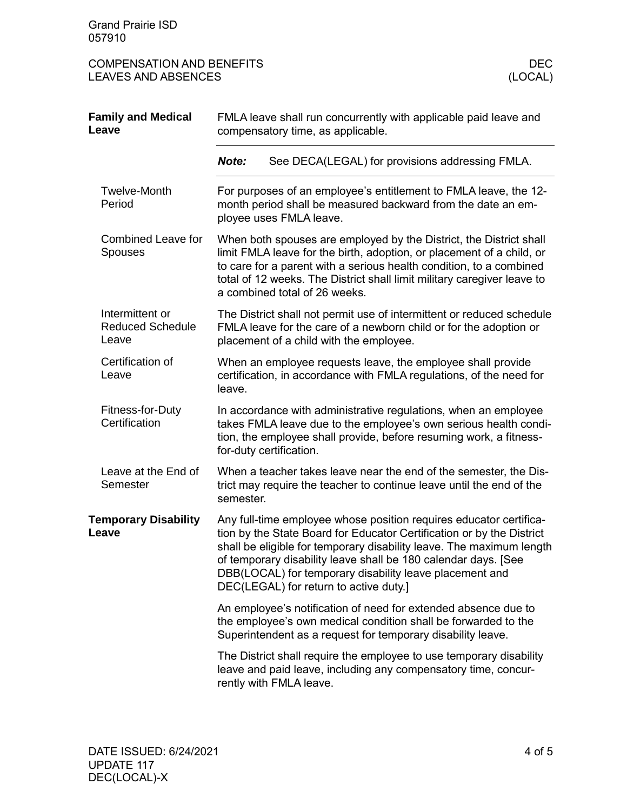Grand Prairie ISD 057910

COMPENSATION AND BENEFITS DECOMPENSATION AND BENEFITS DECTRES AND ABSENCES LEAVES AND ABSENCES

| <b>Family and Medical</b><br>Leave                  | FMLA leave shall run concurrently with applicable paid leave and<br>compensatory time, as applicable.                                                                                                                                                                                                                          |                                                                                                                                                                                                                                                                                                                                                                                            |  |
|-----------------------------------------------------|--------------------------------------------------------------------------------------------------------------------------------------------------------------------------------------------------------------------------------------------------------------------------------------------------------------------------------|--------------------------------------------------------------------------------------------------------------------------------------------------------------------------------------------------------------------------------------------------------------------------------------------------------------------------------------------------------------------------------------------|--|
|                                                     | Note:                                                                                                                                                                                                                                                                                                                          | See DECA(LEGAL) for provisions addressing FMLA.                                                                                                                                                                                                                                                                                                                                            |  |
| <b>Twelve-Month</b><br>Period                       |                                                                                                                                                                                                                                                                                                                                | For purposes of an employee's entitlement to FMLA leave, the 12-<br>month period shall be measured backward from the date an em-<br>ployee uses FMLA leave.                                                                                                                                                                                                                                |  |
| <b>Combined Leave for</b><br><b>Spouses</b>         | When both spouses are employed by the District, the District shall<br>limit FMLA leave for the birth, adoption, or placement of a child, or<br>to care for a parent with a serious health condition, to a combined<br>total of 12 weeks. The District shall limit military caregiver leave to<br>a combined total of 26 weeks. |                                                                                                                                                                                                                                                                                                                                                                                            |  |
| Intermittent or<br><b>Reduced Schedule</b><br>Leave | The District shall not permit use of intermittent or reduced schedule<br>FMLA leave for the care of a newborn child or for the adoption or<br>placement of a child with the employee.                                                                                                                                          |                                                                                                                                                                                                                                                                                                                                                                                            |  |
| Certification of<br>Leave                           | When an employee requests leave, the employee shall provide<br>certification, in accordance with FMLA regulations, of the need for<br>leave.                                                                                                                                                                                   |                                                                                                                                                                                                                                                                                                                                                                                            |  |
| Fitness-for-Duty<br>Certification                   | In accordance with administrative regulations, when an employee<br>takes FMLA leave due to the employee's own serious health condi-<br>tion, the employee shall provide, before resuming work, a fitness-<br>for-duty certification.                                                                                           |                                                                                                                                                                                                                                                                                                                                                                                            |  |
| Leave at the End of<br>Semester                     | semester.                                                                                                                                                                                                                                                                                                                      | When a teacher takes leave near the end of the semester, the Dis-<br>trict may require the teacher to continue leave until the end of the                                                                                                                                                                                                                                                  |  |
| <b>Temporary Disability</b><br>Leave                |                                                                                                                                                                                                                                                                                                                                | Any full-time employee whose position requires educator certifica-<br>tion by the State Board for Educator Certification or by the District<br>shall be eligible for temporary disability leave. The maximum length<br>of temporary disability leave shall be 180 calendar days. [See<br>DBB(LOCAL) for temporary disability leave placement and<br>DEC(LEGAL) for return to active duty.] |  |
|                                                     |                                                                                                                                                                                                                                                                                                                                | An employee's notification of need for extended absence due to<br>the employee's own medical condition shall be forwarded to the<br>Superintendent as a request for temporary disability leave.                                                                                                                                                                                            |  |
|                                                     |                                                                                                                                                                                                                                                                                                                                | The District shall require the employee to use temporary disability<br>leave and paid leave, including any compensatory time, concur-<br>rently with FMLA leave.                                                                                                                                                                                                                           |  |